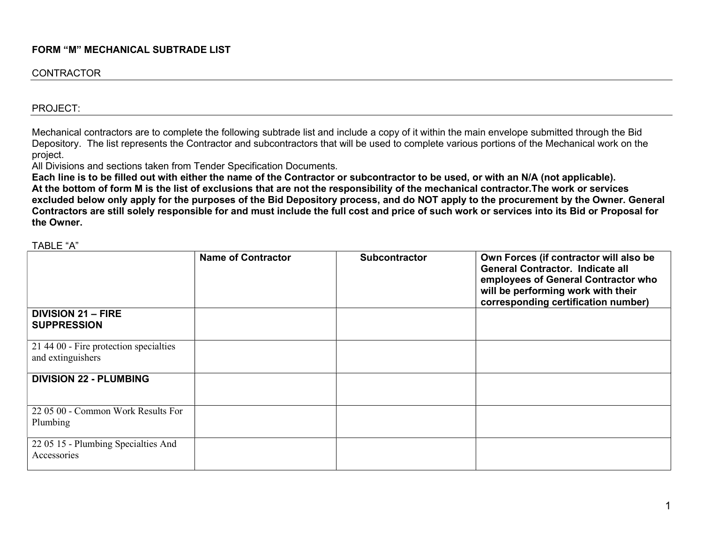## FORM "M" MECHANICAL SUBTRADE LIST

## **CONTRACTOR**

#### PROJECT:

Mechanical contractors are to complete the following subtrade list and include a copy of it within the main envelope submitted through the Bid Depository. The list represents the Contractor and subcontractors that will be used to complete various portions of the Mechanical work on the project.

All Divisions and sections taken from Tender Specification Documents.

Each line is to be filled out with either the name of the Contractor or subcontractor to be used, or with an N/A (not applicable). At the bottom of form M is the list of exclusions that are not the responsibility of the mechanical contractor.The work or services excluded below only apply for the purposes of the Bid Depository process, and do NOT apply to the procurement by the Owner. General Contractors are still solely responsible for and must include the full cost and price of such work or services into its Bid or Proposal for the Owner.

|                                                             | <b>Name of Contractor</b> | <b>Subcontractor</b> | Own Forces (if contractor will also be<br><b>General Contractor. Indicate all</b><br>employees of General Contractor who<br>will be performing work with their<br>corresponding certification number) |
|-------------------------------------------------------------|---------------------------|----------------------|-------------------------------------------------------------------------------------------------------------------------------------------------------------------------------------------------------|
| <b>DIVISION 21 - FIRE</b><br><b>SUPPRESSION</b>             |                           |                      |                                                                                                                                                                                                       |
| 21 44 00 - Fire protection specialties<br>and extinguishers |                           |                      |                                                                                                                                                                                                       |
| <b>DIVISION 22 - PLUMBING</b>                               |                           |                      |                                                                                                                                                                                                       |
| 22 05 00 - Common Work Results For<br>Plumbing              |                           |                      |                                                                                                                                                                                                       |
| 22 05 15 - Plumbing Specialties And<br>Accessories          |                           |                      |                                                                                                                                                                                                       |

TABLE "A"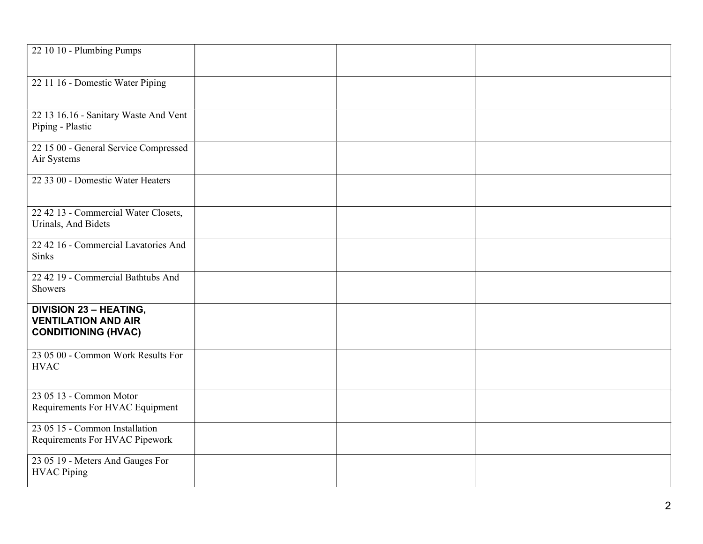| 22 10 10 - Plumbing Pumps                                                                 |  |  |
|-------------------------------------------------------------------------------------------|--|--|
| 22 11 16 - Domestic Water Piping                                                          |  |  |
|                                                                                           |  |  |
| 22 13 16.16 - Sanitary Waste And Vent<br>Piping - Plastic                                 |  |  |
| 22 15 00 - General Service Compressed<br>Air Systems                                      |  |  |
| 22 33 00 - Domestic Water Heaters                                                         |  |  |
| 22 42 13 - Commercial Water Closets,<br>Urinals, And Bidets                               |  |  |
| 22 42 16 - Commercial Lavatories And<br><b>Sinks</b>                                      |  |  |
| 22 42 19 - Commercial Bathtubs And<br>Showers                                             |  |  |
| <b>DIVISION 23 - HEATING,</b><br><b>VENTILATION AND AIR</b><br><b>CONDITIONING (HVAC)</b> |  |  |
| 23 05 00 - Common Work Results For<br><b>HVAC</b>                                         |  |  |
| 23 05 13 - Common Motor<br>Requirements For HVAC Equipment                                |  |  |
| 23 05 15 - Common Installation<br>Requirements For HVAC Pipework                          |  |  |
| 23 05 19 - Meters And Gauges For<br><b>HVAC Piping</b>                                    |  |  |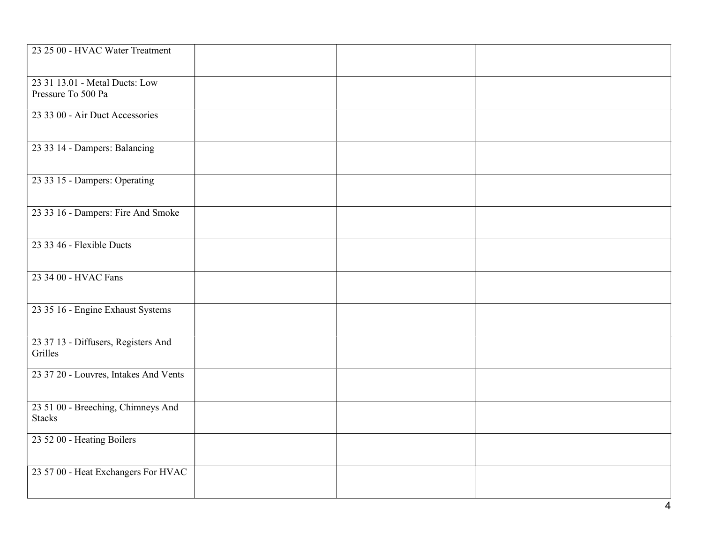| 23 25 00 - HVAC Water Treatment                      |  |  |
|------------------------------------------------------|--|--|
| 23 31 13.01 - Metal Ducts: Low<br>Pressure To 500 Pa |  |  |
| 23 33 00 - Air Duct Accessories                      |  |  |
| 23 33 14 - Dampers: Balancing                        |  |  |
| 23 33 15 - Dampers: Operating                        |  |  |
| 23 33 16 - Dampers: Fire And Smoke                   |  |  |
| 23 33 46 - Flexible Ducts                            |  |  |
| 23 34 00 - HVAC Fans                                 |  |  |
| 23 35 16 - Engine Exhaust Systems                    |  |  |
| 23 37 13 - Diffusers, Registers And<br>Grilles       |  |  |
| 23 37 20 - Louvres, Intakes And Vents                |  |  |
| 23 51 00 - Breeching, Chimneys And<br><b>Stacks</b>  |  |  |
| 23 52 00 - Heating Boilers                           |  |  |
| 23 57 00 - Heat Exchangers For HVAC                  |  |  |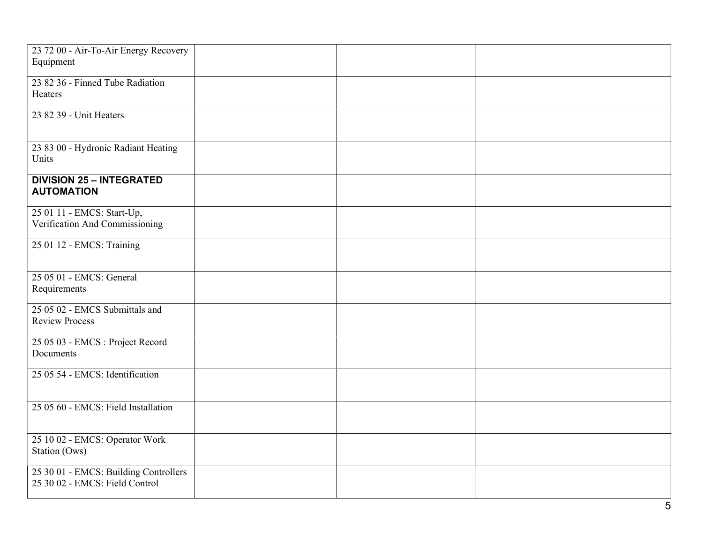| 23 72 00 - Air-To-Air Energy Recovery<br>Equipment                      |  |  |
|-------------------------------------------------------------------------|--|--|
| 23 82 36 - Finned Tube Radiation<br>Heaters                             |  |  |
| 23 82 39 - Unit Heaters                                                 |  |  |
| 23 83 00 - Hydronic Radiant Heating<br>Units                            |  |  |
| <b>DIVISION 25 - INTEGRATED</b><br><b>AUTOMATION</b>                    |  |  |
| 25 01 11 - EMCS: Start-Up,<br>Verification And Commissioning            |  |  |
| 25 01 12 - EMCS: Training                                               |  |  |
| 25 05 01 - EMCS: General<br>Requirements                                |  |  |
| 25 05 02 - EMCS Submittals and<br><b>Review Process</b>                 |  |  |
| 25 05 03 - EMCS : Project Record<br>Documents                           |  |  |
| 25 05 54 - EMCS: Identification                                         |  |  |
| 25 05 60 - EMCS: Field Installation                                     |  |  |
| 25 10 02 - EMCS: Operator Work<br>Station (Ows)                         |  |  |
| 25 30 01 - EMCS: Building Controllers<br>25 30 02 - EMCS: Field Control |  |  |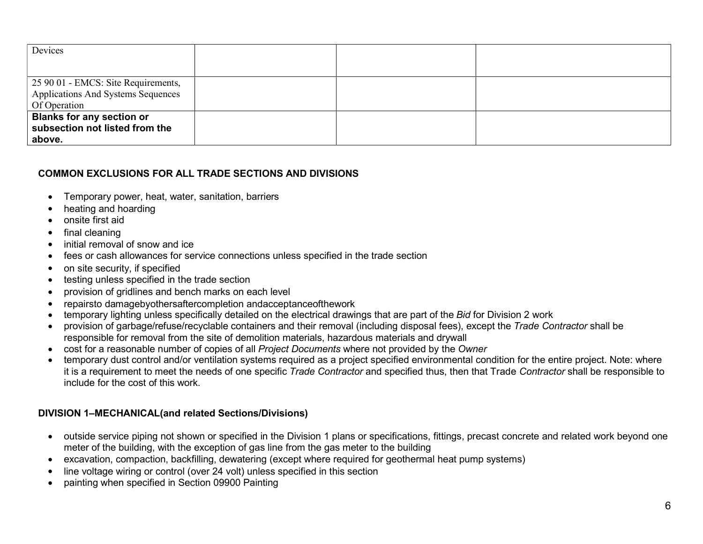| Devices                                     |  |  |
|---------------------------------------------|--|--|
|                                             |  |  |
| $\vert$ 25 90 01 - EMCS: Site Requirements, |  |  |
| Applications And Systems Sequences          |  |  |
| Of Operation                                |  |  |
| <b>Blanks for any section or</b>            |  |  |
| subsection not listed from the              |  |  |
| above.                                      |  |  |

## COMMON EXCLUSIONS FOR ALL TRADE SECTIONS AND DIVISIONS

- Temporary power, heat, water, sanitation, barriers
- heating and hoarding
- onsite first aid
- final cleaning
- initial removal of snow and ice
- fees or cash allowances for service connections unless specified in the trade section
- on site security, if specified
- testing unless specified in the trade section
- provision of gridlines and bench marks on each level
- repairsto damagebyothersaftercompletion andacceptanceofthework
- temporary lighting unless specifically detailed on the electrical drawings that are part of the Bid for Division 2 work
- provision of garbage/refuse/recyclable containers and their removal (including disposal fees), except the Trade Contractor shall be responsible for removal from the site of demolition materials, hazardous materials and drywall
- cost for a reasonable number of copies of all Project Documents where not provided by the Owner
- temporary dust control and/or ventilation systems required as a project specified environmental condition for the entire project. Note: where it is a requirement to meet the needs of one specific Trade Contractor and specified thus, then that Trade Contractor shall be responsible to include for the cost of this work.

# DIVISION 1–MECHANICAL(and related Sections/Divisions)

- outside service piping not shown or specified in the Division 1 plans or specifications, fittings, precast concrete and related work beyond one meter of the building, with the exception of gas line from the gas meter to the building
- excavation, compaction, backfilling, dewatering (except where required for geothermal heat pump systems)
- line voltage wiring or control (over 24 volt) unless specified in this section
- painting when specified in Section 09900 Painting